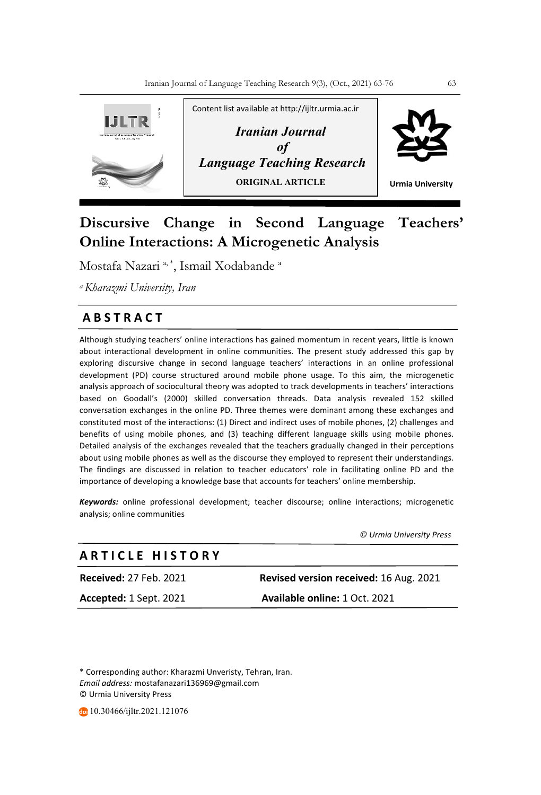

# **Discursive Change in Second Language Teachers' Online Interactions: A Microgenetic Analysis**

Mostafa Nazari <sup>a, \*</sup>, Ismail Xodabande <sup>a</sup>

*a Kharazmi University, Iran*

# **A B S T R A C T**

Although studying teachers' online interactions has gained momentum in recent years, little is known about interactional development in online communities. The present study addressed this gap by exploring discursive change in second language teachers' interactions in an online professional development (PD) course structured around mobile phone usage. To this aim, the microgenetic analysis approach of sociocultural theory was adopted to track developments in teachers' interactions based on Goodall's (2000) skilled conversation threads. Data analysis revealed 152 skilled conversation exchanges in the online PD. Three themes were dominant among these exchanges and constituted most of the interactions: (1) Direct and indirect uses of mobile phones, (2) challenges and benefits of using mobile phones, and (3) teaching different language skills using mobile phones. Detailed analysis of the exchanges revealed that the teachers gradually changed in their perceptions about using mobile phones as well as the discourse they employed to represent their understandings. The findings are discussed in relation to teacher educators' role in facilitating online PD and the importance of developing a knowledge base that accounts for teachers' online membership.

*Keywords:* online professional development; teacher discourse; online interactions; microgenetic analysis; online communities

 *© Urmia University Press*

# **A R T I C L E H I S T O R Y**

**Received:** 27 Feb. 2021 **Revised version received:** 16 Aug. 2021 **Accepted:** 1 Sept. 2021 **Available online:** 1 Oct. 2021

\* Corresponding author: Kharazmi Unveristy, Tehran, Iran. *Email address:* mostafanazari136969@gmail.com © Urmia University Press

10.30466/ijltr.2021.121076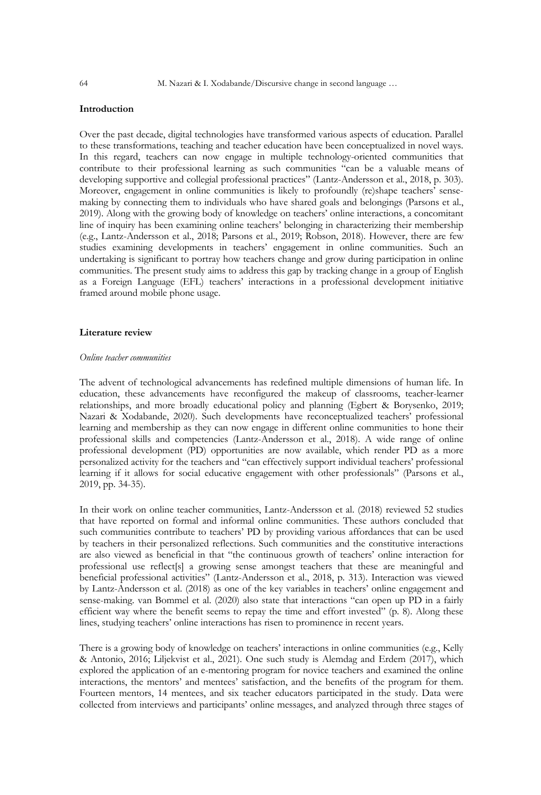# **Introduction**

Over the past decade, digital technologies have transformed various aspects of education. Parallel to these transformations, teaching and teacher education have been conceptualized in novel ways. In this regard, teachers can now engage in multiple technology-oriented communities that contribute to their professional learning as such communities "can be a valuable means of developing supportive and collegial professional practices" (Lantz-Andersson et al., 2018, p. 303). Moreover, engagement in online communities is likely to profoundly (re)shape teachers' sensemaking by connecting them to individuals who have shared goals and belongings (Parsons et al., 2019). Along with the growing body of knowledge on teachers' online interactions, a concomitant line of inquiry has been examining online teachers' belonging in characterizing their membership (e.g., Lantz-Andersson et al., 2018; Parsons et al., 2019; Robson, 2018). However, there are few studies examining developments in teachers' engagement in online communities. Such an undertaking is significant to portray how teachers change and grow during participation in online communities. The present study aims to address this gap by tracking change in a group of English as a Foreign Language (EFL) teachers' interactions in a professional development initiative framed around mobile phone usage.

# **Literature review**

#### *Online teacher communities*

The advent of technological advancements has redefined multiple dimensions of human life. In education, these advancements have reconfigured the makeup of classrooms, teacher-learner relationships, and more broadly educational policy and planning (Egbert & Borysenko, 2019; Nazari & Xodabande, 2020). Such developments have reconceptualized teachers' professional learning and membership as they can now engage in different online communities to hone their professional skills and competencies (Lantz-Andersson et al., 2018). A wide range of online professional development (PD) opportunities are now available, which render PD as a more personalized activity for the teachers and "can effectively support individual teachers' professional learning if it allows for social educative engagement with other professionals" (Parsons et al., 2019, pp. 34-35).

In their work on online teacher communities, Lantz-Andersson et al. (2018) reviewed 52 studies that have reported on formal and informal online communities. These authors concluded that such communities contribute to teachers' PD by providing various affordances that can be used by teachers in their personalized reflections. Such communities and the constitutive interactions are also viewed as beneficial in that "the continuous growth of teachers' online interaction for professional use reflect[s] a growing sense amongst teachers that these are meaningful and beneficial professional activities" (Lantz-Andersson et al., 2018, p. 313). Interaction was viewed by Lantz-Andersson et al. (2018) as one of the key variables in teachers' online engagement and sense-making. van Bommel et al. (2020) also state that interactions "can open up PD in a fairly efficient way where the benefit seems to repay the time and effort invested" (p. 8). Along these lines, studying teachers' online interactions has risen to prominence in recent years.

There is a growing body of knowledge on teachers' interactions in online communities (e.g., Kelly & Antonio, 2016; Liljekvist et al., 2021). One such study is Alemdag and Erdem (2017), which explored the application of an e-mentoring program for novice teachers and examined the online interactions, the mentors' and mentees' satisfaction, and the benefits of the program for them. Fourteen mentors, 14 mentees, and six teacher educators participated in the study. Data were collected from interviews and participants' online messages, and analyzed through three stages of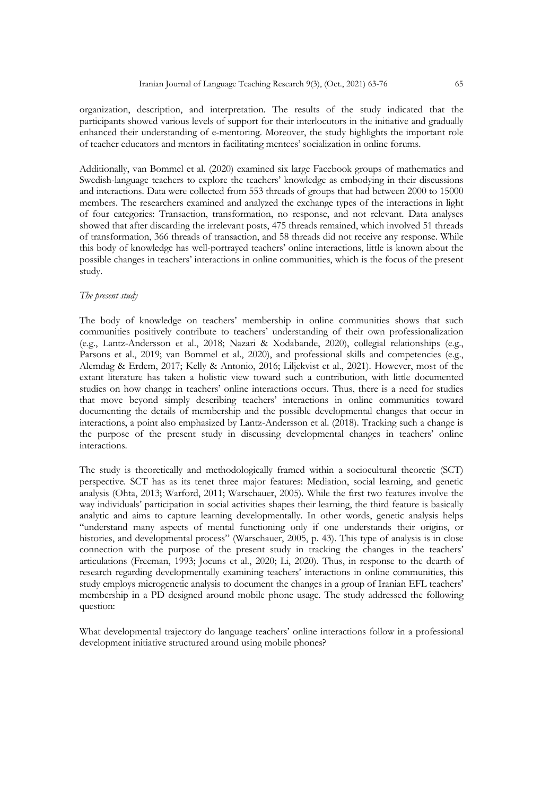organization, description, and interpretation. The results of the study indicated that the participants showed various levels of support for their interlocutors in the initiative and gradually enhanced their understanding of e-mentoring. Moreover, the study highlights the important role of teacher educators and mentors in facilitating mentees' socialization in online forums.

Additionally, van Bommel et al. (2020) examined six large Facebook groups of mathematics and Swedish-language teachers to explore the teachers' knowledge as embodying in their discussions and interactions. Data were collected from 553 threads of groups that had between 2000 to 15000 members. The researchers examined and analyzed the exchange types of the interactions in light of four categories: Transaction, transformation, no response, and not relevant. Data analyses showed that after discarding the irrelevant posts, 475 threads remained, which involved 51 threads of transformation, 366 threads of transaction, and 58 threads did not receive any response. While this body of knowledge has well-portrayed teachers' online interactions, little is known about the possible changes in teachers' interactions in online communities, which is the focus of the present study.

#### *The present study*

The body of knowledge on teachers' membership in online communities shows that such communities positively contribute to teachers' understanding of their own professionalization (e.g., Lantz-Andersson et al., 2018; Nazari & Xodabande, 2020), collegial relationships (e.g., Parsons et al., 2019; van Bommel et al., 2020), and professional skills and competencies (e.g., Alemdag & Erdem, 2017; Kelly & Antonio, 2016; Liljekvist et al., 2021). However, most of the extant literature has taken a holistic view toward such a contribution, with little documented studies on how change in teachers' online interactions occurs. Thus, there is a need for studies that move beyond simply describing teachers' interactions in online communities toward documenting the details of membership and the possible developmental changes that occur in interactions, a point also emphasized by Lantz-Andersson et al. (2018). Tracking such a change is the purpose of the present study in discussing developmental changes in teachers' online interactions.

The study is theoretically and methodologically framed within a sociocultural theoretic (SCT) perspective. SCT has as its tenet three major features: Mediation, social learning, and genetic analysis (Ohta, 2013; Warford, 2011; Warschauer, 2005). While the first two features involve the way individuals' participation in social activities shapes their learning, the third feature is basically analytic and aims to capture learning developmentally. In other words, genetic analysis helps "understand many aspects of mental functioning only if one understands their origins, or histories, and developmental process" (Warschauer, 2005, p. 43). This type of analysis is in close connection with the purpose of the present study in tracking the changes in the teachers' articulations (Freeman, 1993; Jocuns et al., 2020; Li, 2020). Thus, in response to the dearth of research regarding developmentally examining teachers' interactions in online communities, this study employs microgenetic analysis to document the changes in a group of Iranian EFL teachers' membership in a PD designed around mobile phone usage. The study addressed the following question:

What developmental trajectory do language teachers' online interactions follow in a professional development initiative structured around using mobile phones?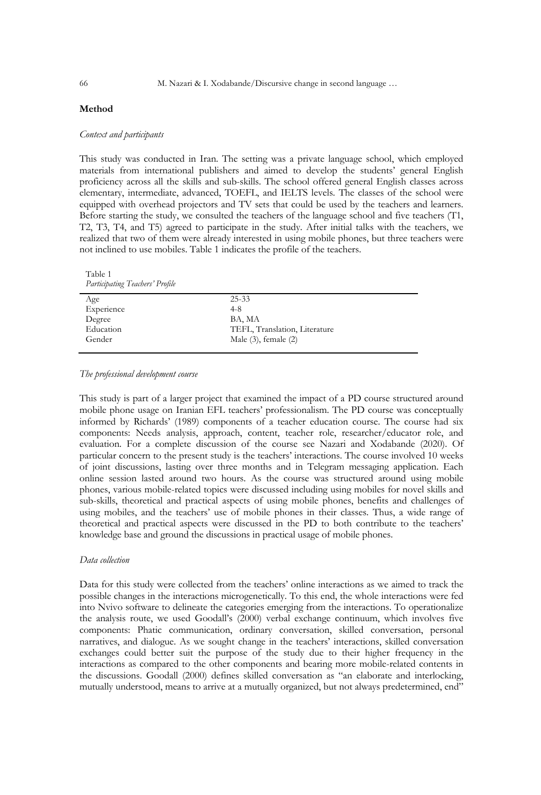# **Method**

#### *Context and participants*

This study was conducted in Iran. The setting was a private language school, which employed materials from international publishers and aimed to develop the students' general English proficiency across all the skills and sub-skills. The school offered general English classes across elementary, intermediate, advanced, TOEFL, and IELTS levels. The classes of the school were equipped with overhead projectors and TV sets that could be used by the teachers and learners. Before starting the study, we consulted the teachers of the language school and five teachers (T1, T2, T3, T4, and T5) agreed to participate in the study. After initial talks with the teachers, we realized that two of them were already interested in using mobile phones, but three teachers were not inclined to use mobiles. Table 1 indicates the profile of the teachers.

Table 1 *Participating Teachers' Profile* 

| Age        | $25 - 33$                     |
|------------|-------------------------------|
| Experience | $4 - 8$                       |
| Degree     | BA, MA                        |
| Education  | TEFL, Translation, Literature |
| Gender     | Male $(3)$ , female $(2)$     |
|            |                               |

#### *The professional development course*

This study is part of a larger project that examined the impact of a PD course structured around mobile phone usage on Iranian EFL teachers' professionalism. The PD course was conceptually informed by Richards' (1989) components of a teacher education course. The course had six components: Needs analysis, approach, content, teacher role, researcher/educator role, and evaluation. For a complete discussion of the course see Nazari and Xodabande (2020). Of particular concern to the present study is the teachers' interactions. The course involved 10 weeks of joint discussions, lasting over three months and in Telegram messaging application. Each online session lasted around two hours. As the course was structured around using mobile phones, various mobile-related topics were discussed including using mobiles for novel skills and sub-skills, theoretical and practical aspects of using mobile phones, benefits and challenges of using mobiles, and the teachers' use of mobile phones in their classes. Thus, a wide range of theoretical and practical aspects were discussed in the PD to both contribute to the teachers' knowledge base and ground the discussions in practical usage of mobile phones.

#### *Data collection*

Data for this study were collected from the teachers' online interactions as we aimed to track the possible changes in the interactions microgenetically. To this end, the whole interactions were fed into Nvivo software to delineate the categories emerging from the interactions. To operationalize the analysis route, we used Goodall's (2000) verbal exchange continuum, which involves five components: Phatic communication, ordinary conversation, skilled conversation, personal narratives, and dialogue. As we sought change in the teachers' interactions, skilled conversation exchanges could better suit the purpose of the study due to their higher frequency in the interactions as compared to the other components and bearing more mobile-related contents in the discussions. Goodall (2000) defines skilled conversation as "an elaborate and interlocking, mutually understood, means to arrive at a mutually organized, but not always predetermined, end"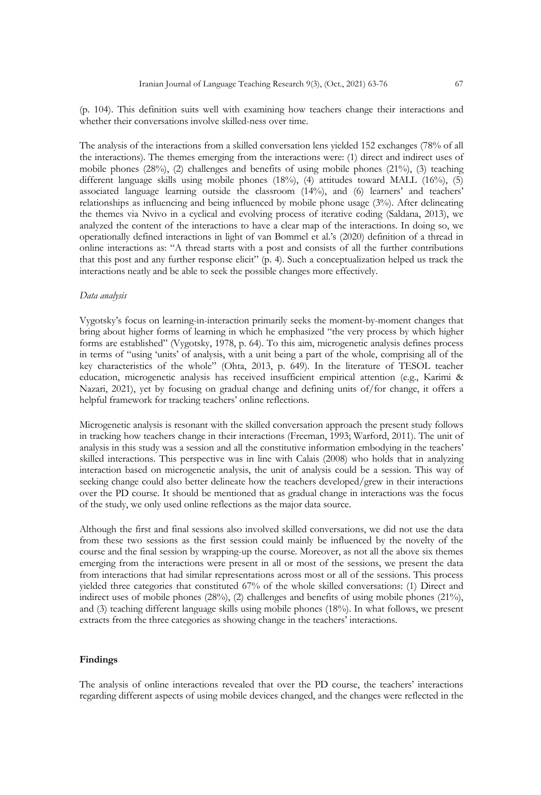(p. 104). This definition suits well with examining how teachers change their interactions and whether their conversations involve skilled-ness over time.

The analysis of the interactions from a skilled conversation lens yielded 152 exchanges (78% of all the interactions). The themes emerging from the interactions were: (1) direct and indirect uses of mobile phones (28%), (2) challenges and benefits of using mobile phones (21%), (3) teaching different language skills using mobile phones (18%), (4) attitudes toward MALL (16%), (5) associated language learning outside the classroom (14%), and (6) learners' and teachers' relationships as influencing and being influenced by mobile phone usage (3%). After delineating the themes via Nvivo in a cyclical and evolving process of iterative coding (Saldana, 2013), we analyzed the content of the interactions to have a clear map of the interactions. In doing so, we operationally defined interactions in light of van Bommel et al.'s (2020) definition of a thread in online interactions as: "A thread starts with a post and consists of all the further contributions that this post and any further response elicit" (p. 4). Such a conceptualization helped us track the interactions neatly and be able to seek the possible changes more effectively.

#### *Data analysis*

Vygotsky's focus on learning-in-interaction primarily seeks the moment-by-moment changes that bring about higher forms of learning in which he emphasized "the very process by which higher forms are established" (Vygotsky, 1978, p. 64). To this aim, microgenetic analysis defines process in terms of "using 'units' of analysis, with a unit being a part of the whole, comprising all of the key characteristics of the whole" (Ohta, 2013, p. 649). In the literature of TESOL teacher education, microgenetic analysis has received insufficient empirical attention (e.g., Karimi & Nazari, 2021), yet by focusing on gradual change and defining units of/for change, it offers a helpful framework for tracking teachers' online reflections.

Microgenetic analysis is resonant with the skilled conversation approach the present study follows in tracking how teachers change in their interactions (Freeman, 1993; Warford, 2011). The unit of analysis in this study was a session and all the constitutive information embodying in the teachers' skilled interactions. This perspective was in line with Calais (2008) who holds that in analyzing interaction based on microgenetic analysis, the unit of analysis could be a session. This way of seeking change could also better delineate how the teachers developed/grew in their interactions over the PD course. It should be mentioned that as gradual change in interactions was the focus of the study, we only used online reflections as the major data source.

Although the first and final sessions also involved skilled conversations, we did not use the data from these two sessions as the first session could mainly be influenced by the novelty of the course and the final session by wrapping-up the course. Moreover, as not all the above six themes emerging from the interactions were present in all or most of the sessions, we present the data from interactions that had similar representations across most or all of the sessions. This process yielded three categories that constituted 67% of the whole skilled conversations: (1) Direct and indirect uses of mobile phones (28%), (2) challenges and benefits of using mobile phones (21%), and (3) teaching different language skills using mobile phones (18%). In what follows, we present extracts from the three categories as showing change in the teachers' interactions.

#### **Findings**

The analysis of online interactions revealed that over the PD course, the teachers' interactions regarding different aspects of using mobile devices changed, and the changes were reflected in the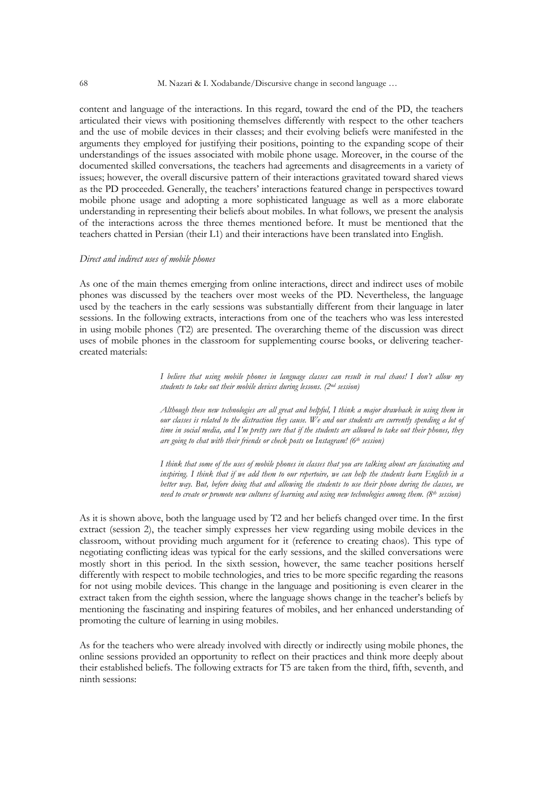content and language of the interactions. In this regard, toward the end of the PD, the teachers articulated their views with positioning themselves differently with respect to the other teachers and the use of mobile devices in their classes; and their evolving beliefs were manifested in the arguments they employed for justifying their positions, pointing to the expanding scope of their understandings of the issues associated with mobile phone usage. Moreover, in the course of the documented skilled conversations, the teachers had agreements and disagreements in a variety of issues; however, the overall discursive pattern of their interactions gravitated toward shared views as the PD proceeded. Generally, the teachers' interactions featured change in perspectives toward mobile phone usage and adopting a more sophisticated language as well as a more elaborate understanding in representing their beliefs about mobiles. In what follows, we present the analysis of the interactions across the three themes mentioned before. It must be mentioned that the teachers chatted in Persian (their L1) and their interactions have been translated into English.

#### *Direct and indirect uses of mobile phones*

As one of the main themes emerging from online interactions, direct and indirect uses of mobile phones was discussed by the teachers over most weeks of the PD. Nevertheless, the language used by the teachers in the early sessions was substantially different from their language in later sessions. In the following extracts, interactions from one of the teachers who was less interested in using mobile phones (T2) are presented. The overarching theme of the discussion was direct uses of mobile phones in the classroom for supplementing course books, or delivering teachercreated materials:

> *I believe that using mobile phones in language classes can result in real chaos! I don't allow my students to take out their mobile devices during lessons. (2nd session)*

> *Although these new technologies are all great and helpful, I think a major drawback in using them in our classes is related to the distraction they cause. We and our students are currently spending a lot of time in social media, and I'm pretty sure that if the students are allowed to take out their phones, they are going to chat with their friends or check posts on Instagram! (6th session)*

> *I think that some of the uses of mobile phones in classes that you are talking about are fascinating and inspiring. I think that if we add them to our repertoire, we can help the students learn English in a better way. But, before doing that and allowing the students to use their phone during the classes, we need to create or promote new cultures of learning and using new technologies among them. (8th session)*

As it is shown above, both the language used by T2 and her beliefs changed over time. In the first extract (session 2), the teacher simply expresses her view regarding using mobile devices in the classroom, without providing much argument for it (reference to creating chaos). This type of negotiating conflicting ideas was typical for the early sessions, and the skilled conversations were mostly short in this period. In the sixth session, however, the same teacher positions herself differently with respect to mobile technologies, and tries to be more specific regarding the reasons for not using mobile devices. This change in the language and positioning is even clearer in the extract taken from the eighth session, where the language shows change in the teacher's beliefs by mentioning the fascinating and inspiring features of mobiles, and her enhanced understanding of promoting the culture of learning in using mobiles.

As for the teachers who were already involved with directly or indirectly using mobile phones, the online sessions provided an opportunity to reflect on their practices and think more deeply about their established beliefs. The following extracts for T5 are taken from the third, fifth, seventh, and ninth sessions: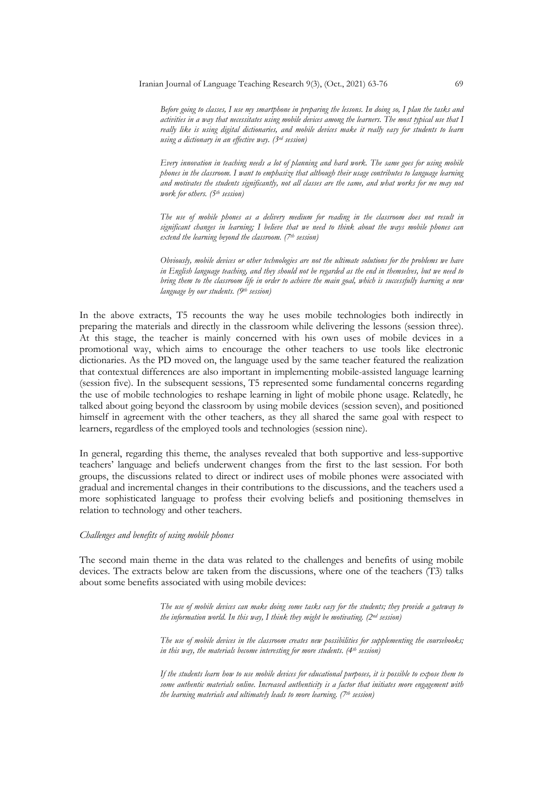*Before going to classes, I use my smartphone in preparing the lessons. In doing so, I plan the tasks and activities in a way that necessitates using mobile devices among the learners. The most typical use that I really like is using digital dictionaries, and mobile devices make it really easy for students to learn using a dictionary in an effective way. (3rd session)*

*Every innovation in teaching needs a lot of planning and hard work. The same goes for using mobile phones in the classroom. I want to emphasize that although their usage contributes to language learning and motivates the students significantly, not all classes are the same, and what works for me may not work for others. (5th session)*

*The use of mobile phones as a delivery medium for reading in the classroom does not result in significant changes in learning; I believe that we need to think about the ways mobile phones can extend the learning beyond the classroom. (7th session)*

*Obviously, mobile devices or other technologies are not the ultimate solutions for the problems we have in English language teaching, and they should not be regarded as the end in themselves, but we need to bring them to the classroom life in order to achieve the main goal, which is successfully learning a new language by our students. (9th session)*

In the above extracts, T5 recounts the way he uses mobile technologies both indirectly in preparing the materials and directly in the classroom while delivering the lessons (session three). At this stage, the teacher is mainly concerned with his own uses of mobile devices in a promotional way, which aims to encourage the other teachers to use tools like electronic dictionaries. As the PD moved on, the language used by the same teacher featured the realization that contextual differences are also important in implementing mobile-assisted language learning (session five). In the subsequent sessions, T5 represented some fundamental concerns regarding the use of mobile technologies to reshape learning in light of mobile phone usage. Relatedly, he talked about going beyond the classroom by using mobile devices (session seven), and positioned himself in agreement with the other teachers, as they all shared the same goal with respect to learners, regardless of the employed tools and technologies (session nine).

In general, regarding this theme, the analyses revealed that both supportive and less-supportive teachers' language and beliefs underwent changes from the first to the last session. For both groups, the discussions related to direct or indirect uses of mobile phones were associated with gradual and incremental changes in their contributions to the discussions, and the teachers used a more sophisticated language to profess their evolving beliefs and positioning themselves in relation to technology and other teachers.

#### *Challenges and benefits of using mobile phones*

The second main theme in the data was related to the challenges and benefits of using mobile devices. The extracts below are taken from the discussions, where one of the teachers (T3) talks about some benefits associated with using mobile devices:

> *The use of mobile devices can make doing some tasks easy for the students; they provide a gateway to the information world. In this way, I think they might be motivating. (2nd session)*

> *The use of mobile devices in the classroom creates new possibilities for supplementing the coursebooks; in this way, the materials become interesting for more students. (4th session)*

> *If the students learn how to use mobile devices for educational purposes, it is possible to expose them to some authentic materials online. Increased authenticity is a factor that initiates more engagement with the learning materials and ultimately leads to more learning. (7th session)*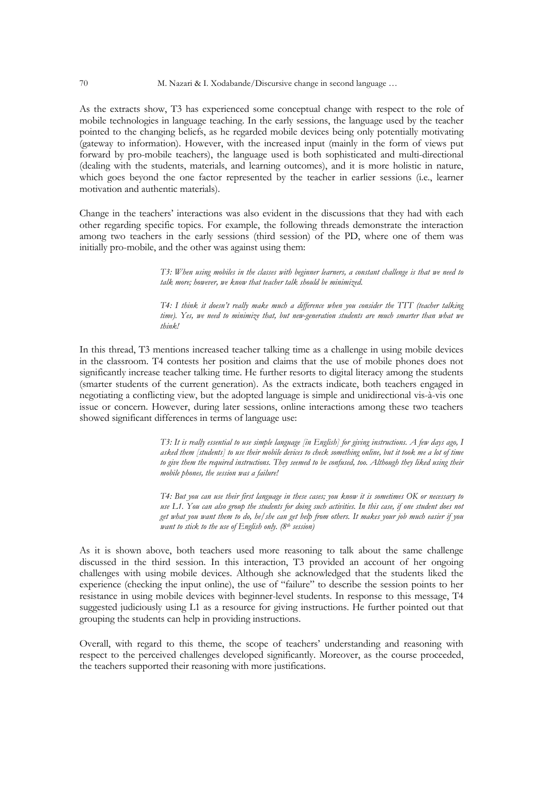As the extracts show, T3 has experienced some conceptual change with respect to the role of mobile technologies in language teaching. In the early sessions, the language used by the teacher pointed to the changing beliefs, as he regarded mobile devices being only potentially motivating (gateway to information). However, with the increased input (mainly in the form of views put forward by pro-mobile teachers), the language used is both sophisticated and multi-directional (dealing with the students, materials, and learning outcomes), and it is more holistic in nature, which goes beyond the one factor represented by the teacher in earlier sessions (i.e., learner motivation and authentic materials).

Change in the teachers' interactions was also evident in the discussions that they had with each other regarding specific topics. For example, the following threads demonstrate the interaction among two teachers in the early sessions (third session) of the PD, where one of them was initially pro-mobile, and the other was against using them:

> *T3: When using mobiles in the classes with beginner learners, a constant challenge is that we need to talk more; however, we know that teacher talk should be minimized.*

> *T4: I think it doesn't really make much a difference when you consider the TTT (teacher talking time). Yes, we need to minimize that, but new-generation students are much smarter than what we think!*

In this thread, T3 mentions increased teacher talking time as a challenge in using mobile devices in the classroom. T4 contests her position and claims that the use of mobile phones does not significantly increase teacher talking time. He further resorts to digital literacy among the students (smarter students of the current generation). As the extracts indicate, both teachers engaged in negotiating a conflicting view, but the adopted language is simple and unidirectional vis-à-vis one issue or concern. However, during later sessions, online interactions among these two teachers showed significant differences in terms of language use:

> *T3: It is really essential to use simple language [in English] for giving instructions. A few days ago, I asked them [students] to use their mobile devices to check something online, but it took me a lot of time to give them the required instructions. They seemed to be confused, too. Although they liked using their mobile phones, the session was a failure!*

> *T4: But you can use their first language in these cases; you know it is sometimes OK or necessary to use L1. You can also group the students for doing such activities. In this case, if one student does not get what you want them to do, he/she can get help from others. It makes your job much easier if you want to stick to the use of English only. (8th session)*

As it is shown above, both teachers used more reasoning to talk about the same challenge discussed in the third session. In this interaction, T3 provided an account of her ongoing challenges with using mobile devices. Although she acknowledged that the students liked the experience (checking the input online), the use of "failure" to describe the session points to her resistance in using mobile devices with beginner-level students. In response to this message, T4 suggested judiciously using L1 as a resource for giving instructions. He further pointed out that grouping the students can help in providing instructions.

Overall, with regard to this theme, the scope of teachers' understanding and reasoning with respect to the perceived challenges developed significantly. Moreover, as the course proceeded, the teachers supported their reasoning with more justifications.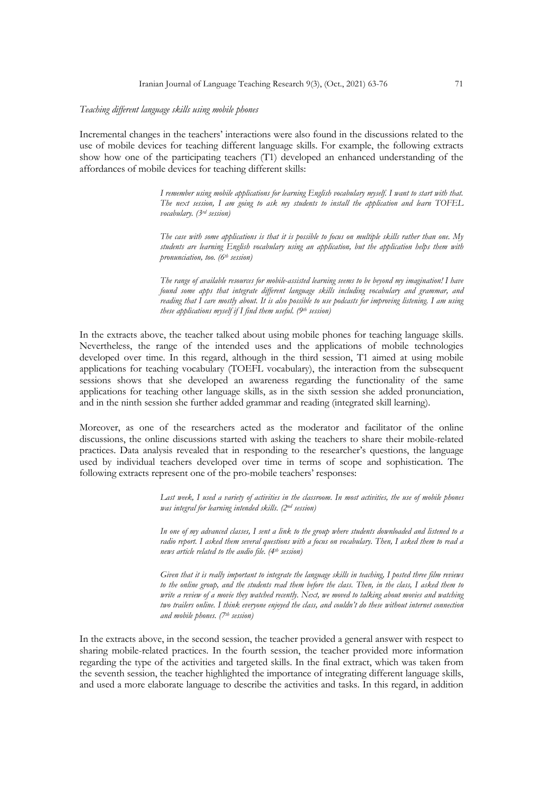## *Teaching different language skills using mobile phones*

Incremental changes in the teachers' interactions were also found in the discussions related to the use of mobile devices for teaching different language skills. For example, the following extracts show how one of the participating teachers (T1) developed an enhanced understanding of the affordances of mobile devices for teaching different skills:

> *I remember using mobile applications for learning English vocabulary myself. I want to start with that. The next session, I am going to ask my students to install the application and learn TOFEL vocabulary. (3rd session)*

> *The case with some applications is that it is possible to focus on multiple skills rather than one. My students are learning English vocabulary using an application, but the application helps them with pronunciation, too. (6th session)*

> *The range of available resources for mobile-assisted learning seems to be beyond my imagination! I have found some apps that integrate different language skills including vocabulary and grammar, and reading that I care mostly about. It is also possible to use podcasts for improving listening. I am using these applications myself if I find them useful. (9<sup>th</sup> session)*

In the extracts above, the teacher talked about using mobile phones for teaching language skills. Nevertheless, the range of the intended uses and the applications of mobile technologies developed over time. In this regard, although in the third session, T1 aimed at using mobile applications for teaching vocabulary (TOEFL vocabulary), the interaction from the subsequent sessions shows that she developed an awareness regarding the functionality of the same applications for teaching other language skills, as in the sixth session she added pronunciation, and in the ninth session she further added grammar and reading (integrated skill learning).

Moreover, as one of the researchers acted as the moderator and facilitator of the online discussions, the online discussions started with asking the teachers to share their mobile-related practices. Data analysis revealed that in responding to the researcher's questions, the language used by individual teachers developed over time in terms of scope and sophistication. The following extracts represent one of the pro-mobile teachers' responses:

> *Last week, I used a variety of activities in the classroom. In most activities, the use of mobile phones was integral for learning intended skills. (2nd session)*

> *In one of my advanced classes, I sent a link to the group where students downloaded and listened to a radio report. I asked them several questions with a focus on vocabulary. Then, I asked them to read a news article related to the audio file. (4th session)*

> *Given that it is really important to integrate the language skills in teaching, I posted three film reviews to the online group, and the students read them before the class. Then, in the class, I asked them to write a review of a movie they watched recently. Next, we moved to talking about movies and watching two trailers online. I think everyone enjoyed the class, and couldn't do these without internet connection and mobile phones. (7th session)*

In the extracts above, in the second session, the teacher provided a general answer with respect to sharing mobile-related practices. In the fourth session, the teacher provided more information regarding the type of the activities and targeted skills. In the final extract, which was taken from the seventh session, the teacher highlighted the importance of integrating different language skills, and used a more elaborate language to describe the activities and tasks. In this regard, in addition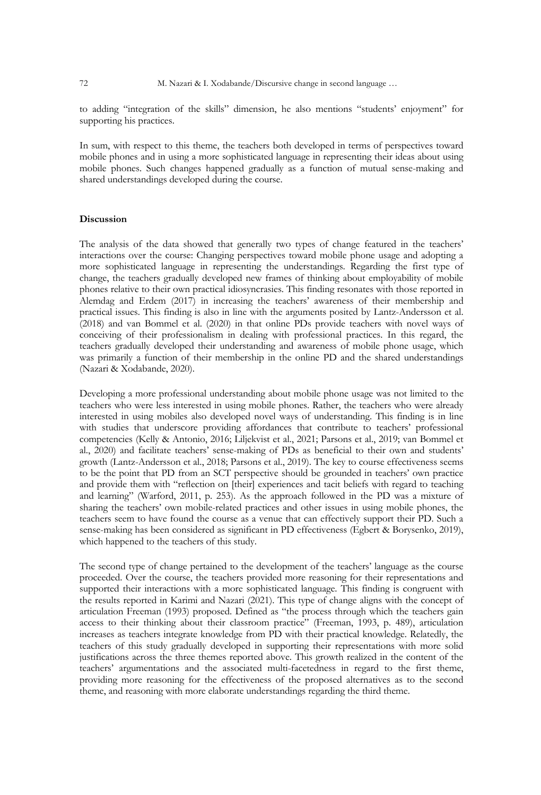to adding "integration of the skills" dimension, he also mentions "students' enjoyment" for supporting his practices.

In sum, with respect to this theme, the teachers both developed in terms of perspectives toward mobile phones and in using a more sophisticated language in representing their ideas about using mobile phones. Such changes happened gradually as a function of mutual sense-making and shared understandings developed during the course.

# **Discussion**

The analysis of the data showed that generally two types of change featured in the teachers' interactions over the course: Changing perspectives toward mobile phone usage and adopting a more sophisticated language in representing the understandings. Regarding the first type of change, the teachers gradually developed new frames of thinking about employability of mobile phones relative to their own practical idiosyncrasies. This finding resonates with those reported in Alemdag and Erdem (2017) in increasing the teachers' awareness of their membership and practical issues. This finding is also in line with the arguments posited by Lantz-Andersson et al. (2018) and van Bommel et al. (2020) in that online PDs provide teachers with novel ways of conceiving of their professionalism in dealing with professional practices. In this regard, the teachers gradually developed their understanding and awareness of mobile phone usage, which was primarily a function of their membership in the online PD and the shared understandings (Nazari & Xodabande, 2020).

Developing a more professional understanding about mobile phone usage was not limited to the teachers who were less interested in using mobile phones. Rather, the teachers who were already interested in using mobiles also developed novel ways of understanding. This finding is in line with studies that underscore providing affordances that contribute to teachers' professional competencies (Kelly & Antonio, 2016; Liljekvist et al., 2021; Parsons et al., 2019; van Bommel et al., 2020) and facilitate teachers' sense-making of PDs as beneficial to their own and students' growth (Lantz-Andersson et al., 2018; Parsons et al., 2019). The key to course effectiveness seems to be the point that PD from an SCT perspective should be grounded in teachers' own practice and provide them with "reflection on [their] experiences and tacit beliefs with regard to teaching and learning" (Warford, 2011, p. 253). As the approach followed in the PD was a mixture of sharing the teachers' own mobile-related practices and other issues in using mobile phones, the teachers seem to have found the course as a venue that can effectively support their PD. Such a sense-making has been considered as significant in PD effectiveness (Egbert & Borysenko, 2019), which happened to the teachers of this study.

The second type of change pertained to the development of the teachers' language as the course proceeded. Over the course, the teachers provided more reasoning for their representations and supported their interactions with a more sophisticated language. This finding is congruent with the results reported in Karimi and Nazari (2021). This type of change aligns with the concept of articulation Freeman (1993) proposed. Defined as "the process through which the teachers gain access to their thinking about their classroom practice" (Freeman, 1993, p. 489), articulation increases as teachers integrate knowledge from PD with their practical knowledge. Relatedly, the teachers of this study gradually developed in supporting their representations with more solid justifications across the three themes reported above. This growth realized in the content of the teachers' argumentations and the associated multi-facetedness in regard to the first theme, providing more reasoning for the effectiveness of the proposed alternatives as to the second theme, and reasoning with more elaborate understandings regarding the third theme.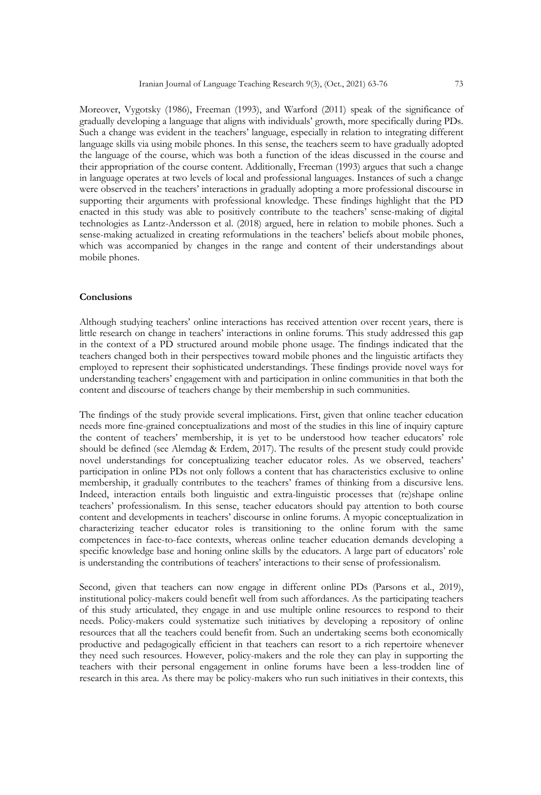Moreover, Vygotsky (1986), Freeman (1993), and Warford (2011) speak of the significance of gradually developing a language that aligns with individuals' growth, more specifically during PDs. Such a change was evident in the teachers' language, especially in relation to integrating different language skills via using mobile phones. In this sense, the teachers seem to have gradually adopted the language of the course, which was both a function of the ideas discussed in the course and their appropriation of the course content. Additionally, Freeman (1993) argues that such a change in language operates at two levels of local and professional languages. Instances of such a change were observed in the teachers' interactions in gradually adopting a more professional discourse in supporting their arguments with professional knowledge. These findings highlight that the PD enacted in this study was able to positively contribute to the teachers' sense-making of digital technologies as Lantz-Andersson et al. (2018) argued, here in relation to mobile phones. Such a sense-making actualized in creating reformulations in the teachers' beliefs about mobile phones, which was accompanied by changes in the range and content of their understandings about mobile phones.

#### **Conclusions**

Although studying teachers' online interactions has received attention over recent years, there is little research on change in teachers' interactions in online forums. This study addressed this gap in the context of a PD structured around mobile phone usage. The findings indicated that the teachers changed both in their perspectives toward mobile phones and the linguistic artifacts they employed to represent their sophisticated understandings. These findings provide novel ways for understanding teachers' engagement with and participation in online communities in that both the content and discourse of teachers change by their membership in such communities.

The findings of the study provide several implications. First, given that online teacher education needs more fine-grained conceptualizations and most of the studies in this line of inquiry capture the content of teachers' membership, it is yet to be understood how teacher educators' role should be defined (see Alemdag & Erdem, 2017). The results of the present study could provide novel understandings for conceptualizing teacher educator roles. As we observed, teachers' participation in online PDs not only follows a content that has characteristics exclusive to online membership, it gradually contributes to the teachers' frames of thinking from a discursive lens. Indeed, interaction entails both linguistic and extra-linguistic processes that (re)shape online teachers' professionalism. In this sense, teacher educators should pay attention to both course content and developments in teachers' discourse in online forums. A myopic conceptualization in characterizing teacher educator roles is transitioning to the online forum with the same competences in face-to-face contexts, whereas online teacher education demands developing a specific knowledge base and honing online skills by the educators. A large part of educators' role is understanding the contributions of teachers' interactions to their sense of professionalism.

Second, given that teachers can now engage in different online PDs (Parsons et al., 2019), institutional policy-makers could benefit well from such affordances. As the participating teachers of this study articulated, they engage in and use multiple online resources to respond to their needs. Policy-makers could systematize such initiatives by developing a repository of online resources that all the teachers could benefit from. Such an undertaking seems both economically productive and pedagogically efficient in that teachers can resort to a rich repertoire whenever they need such resources. However, policy-makers and the role they can play in supporting the teachers with their personal engagement in online forums have been a less-trodden line of research in this area. As there may be policy-makers who run such initiatives in their contexts, this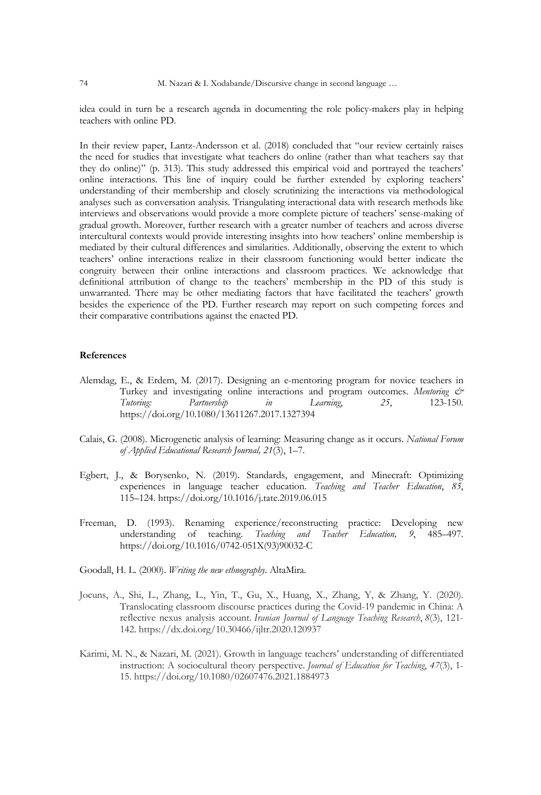idea could in turn be a research agenda in documenting the role policy-makers play in helping teachers with online PD.

In their review paper, Lantz-Andersson et al. (2018) concluded that "our review certainly raises the need for studies that investigate what teachers do online (rather than what teachers say that they do online)" (p. 313). This study addressed this empirical void and portrayed the teachers' online interactions. This line of inquiry could be further extended by exploring teachers' understanding of their membership and closely scrutinizing the interactions via methodological analyses such as conversation analysis. Triangulating interactional data with research methods like interviews and observations would provide a more complete picture of teachers' sense-making of gradual growth. Moreover, further research with a greater number of teachers and across diverse intercultural contexts would provide interesting insights into how teachers' online membership is mediated by their cultural differences and similarities. Additionally, observing the extent to which teachers' online interactions realize in their classroom functioning would better indicate the congruity between their online interactions and classroom practices. We acknowledge that definitional attribution of change to the teachers' membership in the PD of this study is unwarranted. There may be other mediating factors that have facilitated the teachers' growth besides the experience of the PD. Further research may report on such competing forces and their comparative contributions against the enacted PD.

# **References**

- Alemdag, E., & Erdem, M. (2017). Designing an e-mentoring program for novice teachers in Turkey and investigating online interactions and program outcomes. *Mentoring & Tutoring: Partnership in Learning*, *25*, 123-150. https://doi.org/10.1080/13611267.2017.1327394
- Calais, G. (2008). Microgenetic analysis of learning: Measuring change as it occurs. *National Forum of Applied Educational Research Journal, 21*(3), 1–7.
- Egbert, J., & Borysenko, N. (2019). Standards, engagement, and Minecraft: Optimizing experiences in language teacher education. *Teaching and Teacher Education*, *85*, 115–124. https://doi.org/10.1016/j.tate.2019.06.015
- Freeman, D. (1993). Renaming experience/reconstructing practice: Developing new understanding of teaching. *Teaching and Teacher Education, 9*, 485–497. https://doi.org/10.1016/0742-051X(93)90032-C
- Goodall, H. L. (2000). *Writing the new ethnography*. AltaMira.
- Jocuns, A., Shi, L., Zhang, L., Yin, T., Gu, X., Huang, X., Zhang, Y, & Zhang, Y. (2020). Translocating classroom discourse practices during the Covid-19 pandemic in China: A reflective nexus analysis account. *Iranian Journal of Language Teaching Research*, *8*(3), 121- 142. https://dx.doi.org/10.30466/ijltr.2020.120937
- Karimi, M. N., & Nazari, M. (2021). Growth in language teachers' understanding of differentiated instruction: A sociocultural theory perspective. *Journal of Education for Teaching*, *47*(3), 1- 15. https://doi.org/10.1080/02607476.2021.1884973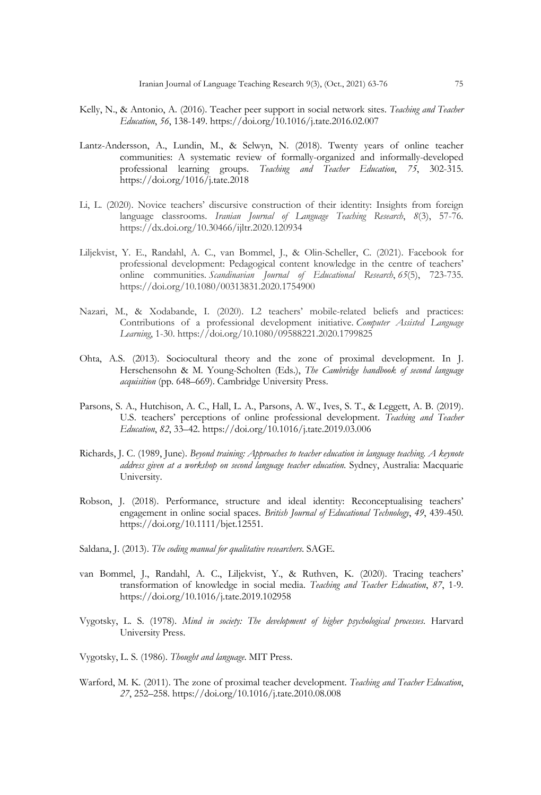- Kelly, N., & Antonio, A. (2016). Teacher peer support in social network sites. *Teaching and Teacher Education*, *56*, 138-149. https://doi.org/10.1016/j.tate.2016.02.007
- Lantz-Andersson, A., Lundin, M., & Selwyn, N. (2018). Twenty years of online teacher communities: A systematic review of formally-organized and informally-developed professional learning groups. *Teaching and Teacher Education*, *75*, 302-315. https://doi.org/1016/j.tate.2018
- Li, L. (2020). Novice teachers' discursive construction of their identity: Insights from foreign language classrooms. *Iranian Journal of Language Teaching Research*, *8*(3), 57-76. https://dx.doi.org/10.30466/ijltr.2020.120934
- Liljekvist, Y. E., Randahl, A. C., van Bommel, J., & Olin-Scheller, C. (2021). Facebook for professional development: Pedagogical content knowledge in the centre of teachers' online communities. *Scandinavian Journal of Educational Research*, *65*(5), 723-735. https://doi.org/10.1080/00313831.2020.1754900
- Nazari, M., & Xodabande, I. (2020). L2 teachers' mobile-related beliefs and practices: Contributions of a professional development initiative. *Computer Assisted Language Learning*, 1-30. https://doi.org/10.1080/09588221.2020.1799825
- Ohta, A.S. (2013). Sociocultural theory and the zone of proximal development. In J. Herschensohn & M. Young-Scholten (Eds.), *The Cambridge handbook of second language acquisition* (pp. 648–669). Cambridge University Press.
- Parsons, S. A., Hutchison, A. C., Hall, L. A., Parsons, A. W., Ives, S. T., & Leggett, A. B. (2019). U.S. teachers' perceptions of online professional development. *Teaching and Teacher Education*, *82*, 33–42. https://doi.org/10.1016/j.tate.2019.03.006
- Richards, J. C. (1989, June). *Beyond training: Approaches to teacher education in language teaching. A keynote address given at a workshop on second language teacher education*. Sydney, Australia: Macquarie University.
- Robson, J. (2018). Performance, structure and ideal identity: Reconceptualising teachers' engagement in online social spaces. *British Journal of Educational Technology*, *49*, 439-450. https://doi.org/10.1111/bjet.12551.
- Saldana, J. (2013). *The coding manual for qualitative researchers*. SAGE.
- van Bommel, J., Randahl, A. C., Liljekvist, Y., & Ruthven, K. (2020). Tracing teachers' transformation of knowledge in social media. *Teaching and Teacher Education*, *87*, 1-9. https://doi.org/10.1016/j.tate.2019.102958
- Vygotsky, L. S. (1978). *Mind in society: The development of higher psychological processes*. Harvard University Press.
- Vygotsky, L. S. (1986). *Thought and language*. MIT Press.
- Warford, M. K. (2011). The zone of proximal teacher development. *Teaching and Teacher Education*, *27*, 252–258. https://doi.org/10.1016/j.tate.2010.08.008